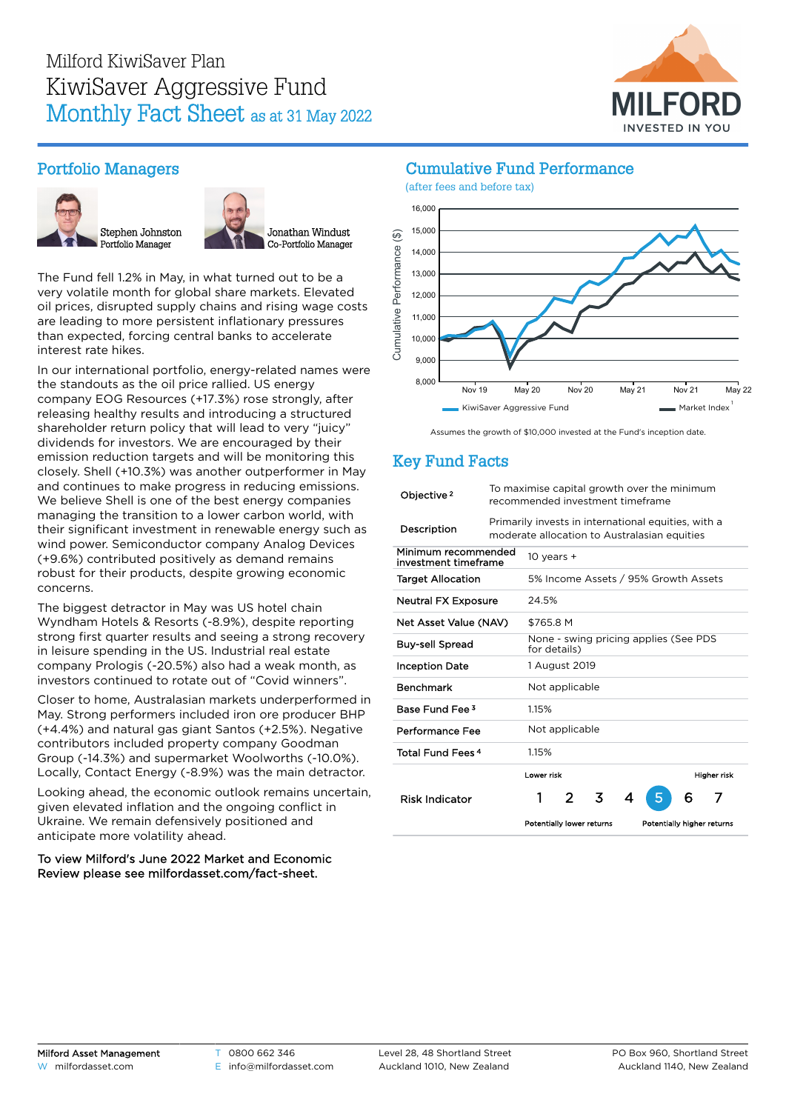

# Portfolio Managers





The Fund fell 1.2% in May, in what turned out to be a very volatile month for global share markets. Elevated oil prices, disrupted supply chains and rising wage costs are leading to more persistent inflationary pressures than expected, forcing central banks to accelerate interest rate hikes.

In our international portfolio, energy-related names were the standouts as the oil price rallied. US energy company EOG Resources (+17.3%) rose strongly, after releasing healthy results and introducing a structured shareholder return policy that will lead to very "juicy" dividends for investors. We are encouraged by their emission reduction targets and will be monitoring this closely. Shell (+10.3%) was another outperformer in May and continues to make progress in reducing emissions. We believe Shell is one of the best energy companies managing the transition to a lower carbon world, with their significant investment in renewable energy such as wind power. Semiconductor company Analog Devices (+9.6%) contributed positively as demand remains robust for their products, despite growing economic concerns.

The biggest detractor in May was US hotel chain Wyndham Hotels & Resorts (-8.9%), despite reporting strong first quarter results and seeing a strong recovery in leisure spending in the US. Industrial real estate company Prologis (-20.5%) also had a weak month, as investors continued to rotate out of "Covid winners".

Closer to home, Australasian markets underperformed in May. Strong performers included iron ore producer BHP (+4.4%) and natural gas giant Santos (+2.5%). Negative contributors included property company Goodman Group (-14.3%) and supermarket Woolworths (-10.0%). Locally, Contact Energy (-8.9%) was the main detractor.

Looking ahead, the economic outlook remains uncertain, given elevated inflation and the ongoing conflict in Ukraine. We remain defensively positioned and anticipate more volatility ahead.

To view Milford's June 2022 Market and Economic Review please see [milfordasset.com/fact-sheet](https://milfordasset.com/wp-content/uploads/2022/06/Market-and-Economic-Review-June-2022.pdf).

### Cumulative Fund Performance



Assumes the growth of \$10,000 invested at the Fund's inception date.

# Key Fund Facts

| Objective <sup>2</sup>                      | To maximise capital growth over the minimum<br>recommended investment timeframe                     |                                                       |   |   |   |                            |   |             |
|---------------------------------------------|-----------------------------------------------------------------------------------------------------|-------------------------------------------------------|---|---|---|----------------------------|---|-------------|
| Description                                 | Primarily invests in international equities, with a<br>moderate allocation to Australasian equities |                                                       |   |   |   |                            |   |             |
| Minimum recommended<br>investment timeframe |                                                                                                     | 10 years $+$                                          |   |   |   |                            |   |             |
| <b>Target Allocation</b>                    |                                                                                                     | 5% Income Assets / 95% Growth Assets                  |   |   |   |                            |   |             |
| <b>Neutral FX Exposure</b>                  |                                                                                                     | 24.5%                                                 |   |   |   |                            |   |             |
| Net Asset Value (NAV)                       |                                                                                                     | \$765.8 M                                             |   |   |   |                            |   |             |
| <b>Buy-sell Spread</b>                      |                                                                                                     | None - swing pricing applies (See PDS<br>for details) |   |   |   |                            |   |             |
| <b>Inception Date</b>                       | 1 August 2019                                                                                       |                                                       |   |   |   |                            |   |             |
| <b>Benchmark</b>                            |                                                                                                     | Not applicable                                        |   |   |   |                            |   |             |
| Base Fund Fee 3                             |                                                                                                     | 1.15%                                                 |   |   |   |                            |   |             |
| Performance Fee                             |                                                                                                     | Not applicable                                        |   |   |   |                            |   |             |
| Total Fund Fees <sup>4</sup>                |                                                                                                     | 1.15%                                                 |   |   |   |                            |   |             |
|                                             |                                                                                                     | Lower risk                                            |   |   |   |                            |   | Higher risk |
| <b>Risk Indicator</b>                       |                                                                                                     | 1                                                     | 2 | 3 | 4 |                            | 6 | 7           |
|                                             |                                                                                                     | Potentially lower returns                             |   |   |   | Potentially higher returns |   |             |